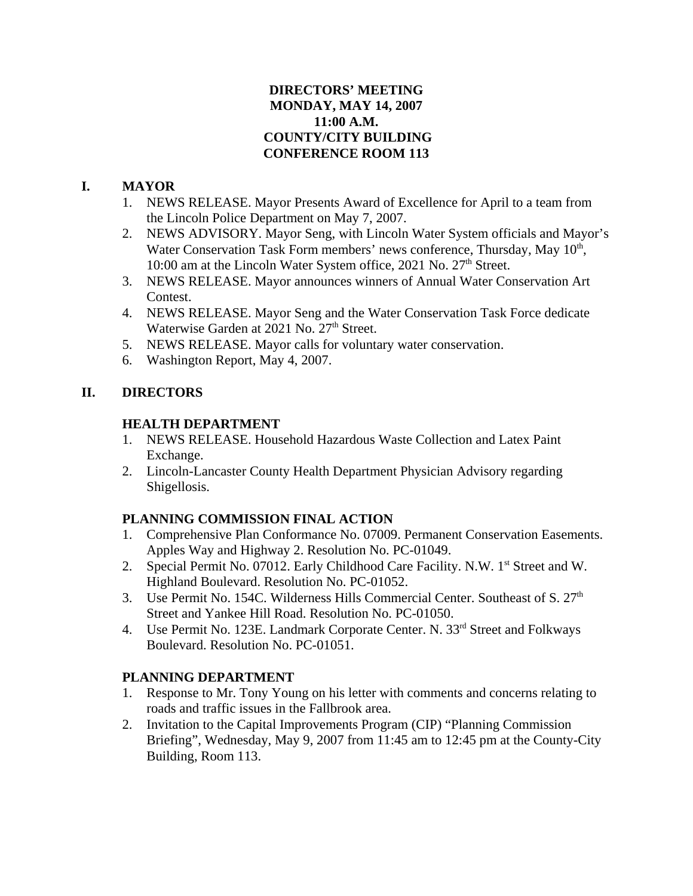### **DIRECTORS' MEETING MONDAY, MAY 14, 2007 11:00 A.M. COUNTY/CITY BUILDING CONFERENCE ROOM 113**

## **I. MAYOR**

- 1. NEWS RELEASE. Mayor Presents Award of Excellence for April to a team from the Lincoln Police Department on May 7, 2007.
- 2. NEWS ADVISORY. Mayor Seng, with Lincoln Water System officials and Mayor's Water Conservation Task Form members' news conference, Thursday, May  $10<sup>th</sup>$ , 10:00 am at the Lincoln Water System office, 2021 No. 27<sup>th</sup> Street.
- 3. NEWS RELEASE. Mayor announces winners of Annual Water Conservation Art Contest.
- 4. NEWS RELEASE. Mayor Seng and the Water Conservation Task Force dedicate Waterwise Garden at 2021 No. 27<sup>th</sup> Street.
- 5. NEWS RELEASE. Mayor calls for voluntary water conservation.
- 6. Washington Report, May 4, 2007.

# **II. DIRECTORS**

## **HEALTH DEPARTMENT**

- 1. NEWS RELEASE. Household Hazardous Waste Collection and Latex Paint Exchange.
- 2. Lincoln-Lancaster County Health Department Physician Advisory regarding Shigellosis.

# **PLANNING COMMISSION FINAL ACTION**

- 1. Comprehensive Plan Conformance No. 07009. Permanent Conservation Easements. Apples Way and Highway 2. Resolution No. PC-01049.
- 2. Special Permit No. 07012. Early Childhood Care Facility. N.W. 1<sup>st</sup> Street and W. Highland Boulevard. Resolution No. PC-01052.
- 3. Use Permit No. 154C. Wilderness Hills Commercial Center. Southeast of S. 27<sup>th</sup> Street and Yankee Hill Road. Resolution No. PC-01050.
- 4. Use Permit No. 123E. Landmark Corporate Center. N. 33<sup>rd</sup> Street and Folkways Boulevard. Resolution No. PC-01051.

# **PLANNING DEPARTMENT**

- 1. Response to Mr. Tony Young on his letter with comments and concerns relating to roads and traffic issues in the Fallbrook area.
- 2. Invitation to the Capital Improvements Program (CIP) "Planning Commission Briefing", Wednesday, May 9, 2007 from 11:45 am to 12:45 pm at the County-City Building, Room 113.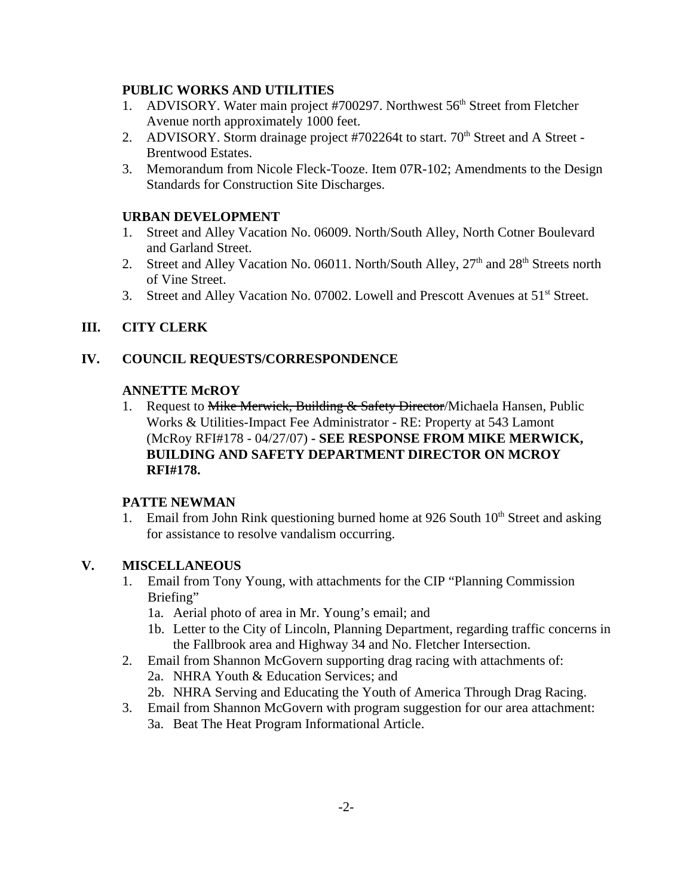#### **PUBLIC WORKS AND UTILITIES**

- 1. ADVISORY. Water main project #700297. Northwest 56<sup>th</sup> Street from Fletcher Avenue north approximately 1000 feet.
- 2. ADVISORY. Storm drainage project #702264t to start. 70<sup>th</sup> Street and A Street -Brentwood Estates.
- 3. Memorandum from Nicole Fleck-Tooze. Item 07R-102; Amendments to the Design Standards for Construction Site Discharges.

#### **URBAN DEVELOPMENT**

- 1. Street and Alley Vacation No. 06009. North/South Alley, North Cotner Boulevard and Garland Street.
- 2. Street and Alley Vacation No. 06011. North/South Alley,  $27<sup>th</sup>$  and  $28<sup>th</sup>$  Streets north of Vine Street.
- 3. Street and Alley Vacation No. 07002. Lowell and Prescott Avenues at 51<sup>st</sup> Street.

### **III. CITY CLERK**

### **IV. COUNCIL REQUESTS/CORRESPONDENCE**

#### **ANNETTE McROY**

1. Request to Mike Merwick, Building & Safety Director/Michaela Hansen, Public Works & Utilities-Impact Fee Administrator - RE: Property at 543 Lamont (McRoy RFI#178 - 04/27/07) **- SEE RESPONSE FROM MIKE MERWICK, BUILDING AND SAFETY DEPARTMENT DIRECTOR ON MCROY RFI#178.** 

### **PATTE NEWMAN**

1. Email from John Rink questioning burned home at 926 South  $10<sup>th</sup>$  Street and asking for assistance to resolve vandalism occurring.

#### **V. MISCELLANEOUS**

- 1. Email from Tony Young, with attachments for the CIP "Planning Commission Briefing"
	- 1a. Aerial photo of area in Mr. Young's email; and
	- 1b. Letter to the City of Lincoln, Planning Department, regarding traffic concerns in the Fallbrook area and Highway 34 and No. Fletcher Intersection.
- 2. Email from Shannon McGovern supporting drag racing with attachments of:
	- 2a. NHRA Youth & Education Services; and
	- 2b. NHRA Serving and Educating the Youth of America Through Drag Racing.
- 3. Email from Shannon McGovern with program suggestion for our area attachment: 3a. Beat The Heat Program Informational Article.